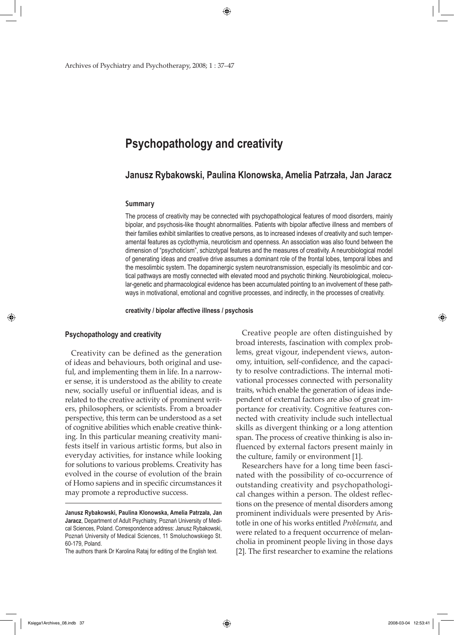# **Psychopathology and creativity**

**Janusz Rybakowski, Paulina Klonowska, Amelia Patrzała, Jan Jaracz**

#### **Summary**

The process of creativity may be connected with psychopathological features of mood disorders, mainly bipolar, and psychosis-like thought abnormalities. Patients with bipolar affective illness and members of their families exhibit similarities to creative persons, as to increased indexes of creativity and such temperamental features as cyclothymia, neuroticism and openness. An association was also found between the dimension of "psychoticism", schizotypal features and the measures of creativity. A neurobiological model of generating ideas and creative drive assumes a dominant role of the frontal lobes, temporal lobes and the mesolimbic system. The dopaminergic system neurotransmission, especially its mesolimbic and cortical pathways are mostly connected with elevated mood and psychotic thinking. Neurobiological, molecular-genetic and pharmacological evidence has been accumulated pointing to an involvement of these pathways in motivational, emotional and cognitive processes, and indirectly, in the processes of creativity.

**creativity / bipolar affective illness / psychosis**

## **Psychopathology and creativity**

↔

Creativity can be defined as the generation of ideas and behaviours, both original and useful, and implementing them in life. In a narrower sense, it is understood as the ability to create new, socially useful or influential ideas, and is related to the creative activity of prominent writers, philosophers, or scientists. From a broader perspective, this term can be understood as a set of cognitive abilities which enable creative thinking. In this particular meaning creativity manifests itself in various artistic forms, but also in everyday activities, for instance while looking for solutions to various problems. Creativity has evolved in the course of evolution of the brain of Homo sapiens and in specific circumstances it may promote a reproductive success.

The authors thank Dr Karolina Rataj for editing of the English text.

Creative people are often distinguished by broad interests, fascination with complex problems, great vigour, independent views, autonomy, intuition, self-confidence, and the capacity to resolve contradictions. The internal motivational processes connected with personality traits, which enable the generation of ideas independent of external factors are also of great importance for creativity. Cognitive features connected with creativity include such intellectual skills as divergent thinking or a long attention span. The process of creative thinking is also influenced by external factors present mainly in the culture, family or environment [1].

Researchers have for a long time been fascinated with the possibility of co-occurrence of outstanding creativity and psychopathological changes within a person. The oldest reflections on the presence of mental disorders among prominent individuals were presented by Aristotle in one of his works entitled *Problemata*, and were related to a frequent occurrence of melancholia in prominent people living in those days [2]. The first researcher to examine the relations

**Janusz Rybakowski, Paulina Klonowska, Amelia Patrzała, Jan Jaracz**, Department of Adult Psychiatry, Poznań University of Medical Sciences, Poland. Correspondence address: Janusz Rybakowski, Poznań University of Medical Sciences, 11 Smoluchowskiego St. 60-179, Poland.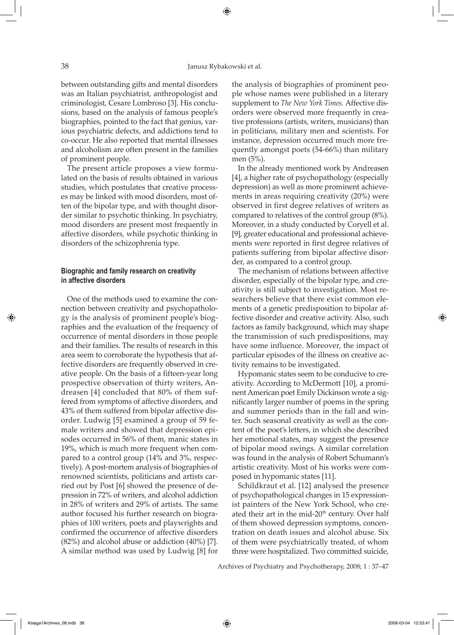# 38 Janusz Rybakowski et al.

⊕

between outstanding gifts and mental disorders was an Italian psychiatrist, anthropologist and criminologist, Cesare Lombroso [3]. His conclusions, based on the analysis of famous people's biographies, pointed to the fact that genius, various psychiatric defects, and addictions tend to co-occur. He also reported that mental illnesses and alcoholism are often present in the families of prominent people.

The present article proposes a view formulated on the basis of results obtained in various studies, which postulates that creative processes may be linked with mood disorders, most often of the bipolar type, and with thought disorder similar to psychotic thinking. In psychiatry, mood disorders are present most frequently in affective disorders, while psychotic thinking in disorders of the schizophrenia type.

# **Biographic and family research on creativity in affective disorders**

One of the methods used to examine the connection between creativity and psychopathology is the analysis of prominent people's biographies and the evaluation of the frequency of occurrence of mental disorders in those people and their families. The results of research in this area seem to corroborate the hypothesis that affective disorders are frequently observed in creative people. On the basis of a fifteen-year long prospective observation of thirty writers, Andreasen [4] concluded that 80% of them suffered from symptoms of affective disorders, and 43% of them suffered from bipolar affective disorder. Ludwig [5] examined a group of 59 female writers and showed that depression episodes occurred in 56% of them, manic states in 19%, which is much more frequent when compared to a control group (14% and 3%, respectively). A post-mortem analysis of biographies of renowned scientists, politicians and artists carried out by Post [6] showed the presence of depression in 72% of writers, and alcohol addiction in 28% of writers and 29% of artists. The same author focused his further research on biographies of 100 writers, poets and playwrights and confirmed the occurrence of affective disorders (82%) and alcohol abuse or addiction (40%) [7]. A similar method was used by Ludwig [8] for the analysis of biographies of prominent people whose names were published in a literary supplement to *The New York Times.* Affective disorders were observed more frequently in creative professions (artists, writers, musicians) than in politicians, military men and scientists. For instance, depression occurred much more frequently amongst poets (54-66%) than military men (5%).

In the already mentioned work by Andreasen [4], a higher rate of psychopathology (especially depression) as well as more prominent achievements in areas requiring creativity (20%) were observed in first degree relatives of writers as compared to relatives of the control group (8%). Moreover, in a study conducted by Coryell et al. [9], greater educational and professional achievements were reported in first degree relatives of patients suffering from bipolar affective disorder, as compared to a control group.

The mechanism of relations between affective disorder, especially of the bipolar type, and creativity is still subject to investigation. Most researchers believe that there exist common elements of a genetic predisposition to bipolar affective disorder and creative activity. Also, such factors as family background, which may shape the transmission of such predispositions, may have some influence. Moreover, the impact of particular episodes of the illness on creative activity remains to be investigated.

Hypomanic states seem to be conducive to creativity. According to McDermott [10], a prominent American poet Emily Dickinson wrote a significantly larger number of poems in the spring and summer periods than in the fall and winter. Such seasonal creativity as well as the content of the poet's letters, in which she described her emotional states, may suggest the presence of bipolar mood swings. A similar correlation was found in the analysis of Robert Schumann's artistic creativity. Most of his works were composed in hypomanic states [11].

Schildkraut et al. [12] analysed the presence of psychopathological changes in 15 expressionist painters of the New York School, who created their art in the mid- $20<sup>th</sup>$  century. Over half of them showed depression symptoms, concentration on death issues and alcohol abuse. Six of them were psychiatrically treated, of whom three were hospitalized. Two committed suicide,

Archives of Psychiatry and Psychotherapy, 2008; 1 : 37–47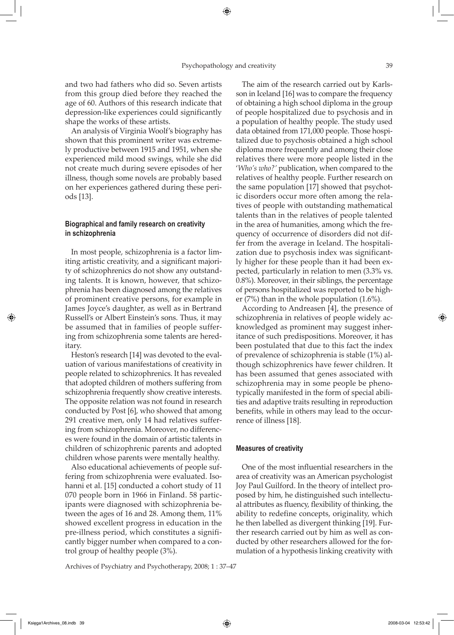$\Leftrightarrow$ 

and two had fathers who did so. Seven artists from this group died before they reached the age of 60. Authors of this research indicate that depression-like experiences could significantly shape the works of these artists.

An analysis of Virginia Woolf's biography has shown that this prominent writer was extremely productive between 1915 and 1951, when she experienced mild mood swings, while she did not create much during severe episodes of her illness, though some novels are probably based on her experiences gathered during these periods [13].

# **Biographical and family research on creativity in schizophrenia**

In most people, schizophrenia is a factor limiting artistic creativity, and a significant majority of schizophrenics do not show any outstanding talents. It is known, however, that schizophrenia has been diagnosed among the relatives of prominent creative persons, for example in James Joyce's daughter, as well as in Bertrand Russell's or Albert Einstein's sons. Thus, it may be assumed that in families of people suffering from schizophrenia some talents are hereditary.

Heston's research [14] was devoted to the evaluation of various manifestations of creativity in people related to schizophrenics. It has revealed that adopted children of mothers suffering from schizophrenia frequently show creative interests. The opposite relation was not found in research conducted by Post [6], who showed that among 291 creative men, only 14 had relatives suffering from schizophrenia. Moreover, no differences were found in the domain of artistic talents in children of schizophrenic parents and adopted children whose parents were mentally healthy.

Also educational achievements of people suffering from schizophrenia were evaluated. Isohanni et al. [15] conducted a cohort study of 11 070 people born in 1966 in Finland. 58 participants were diagnosed with schizophrenia between the ages of 16 and 28. Among them, 11% showed excellent progress in education in the pre-illness period, which constitutes a significantly bigger number when compared to a control group of healthy people (3%).

Archives of Psychiatry and Psychotherapy, 2008; 1 : 37–47

The aim of the research carried out by Karlsson in Iceland [16] was to compare the frequency of obtaining a high school diploma in the group of people hospitalized due to psychosis and in a population of healthy people. The study used data obtained from 171,000 people. Those hospitalized due to psychosis obtained a high school diploma more frequently and among their close relatives there were more people listed in the '*Who's who?'* publication, when compared to the relatives of healthy people. Further research on the same population [17] showed that psychotic disorders occur more often among the relatives of people with outstanding mathematical talents than in the relatives of people talented in the area of humanities, among which the frequency of occurrence of disorders did not differ from the average in Iceland. The hospitalization due to psychosis index was significantly higher for these people than it had been expected, particularly in relation to men (3.3% vs. 0.8%). Moreover, in their siblings, the percentage of persons hospitalized was reported to be higher (7%) than in the whole population (1.6%).

According to Andreasen [4], the presence of schizophrenia in relatives of people widely acknowledged as prominent may suggest inheritance of such predispositions. Moreover, it has been postulated that due to this fact the index of prevalence of schizophrenia is stable (1%) although schizophrenics have fewer children. It has been assumed that genes associated with schizophrenia may in some people be phenotypically manifested in the form of special abilities and adaptive traits resulting in reproduction benefits, while in others may lead to the occurrence of illness [18].

## **Measures of creativity**

One of the most influential researchers in the area of creativity was an American psychologist Joy Paul Guilford. In the theory of intellect proposed by him, he distinguished such intellectual attributes as fluency, flexibility of thinking, the ability to redefine concepts, originality, which he then labelled as divergent thinking [19]. Further research carried out by him as well as conducted by other researchers allowed for the formulation of a hypothesis linking creativity with

⇔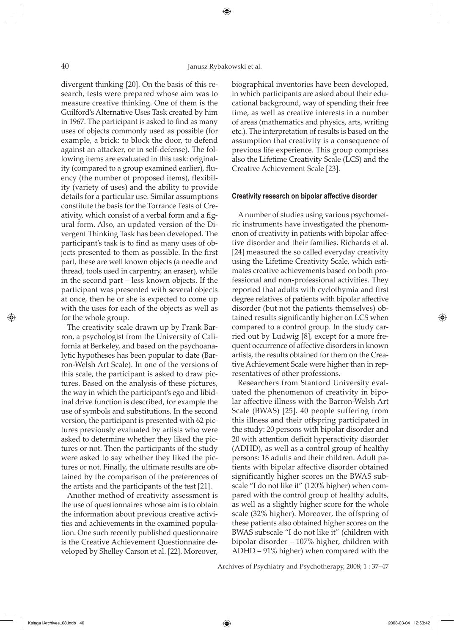divergent thinking [20]. On the basis of this research, tests were prepared whose aim was to measure creative thinking. One of them is the Guilford's Alternative Uses Task created by him in 1967. The participant is asked to find as many uses of objects commonly used as possible (for example, a brick: to block the door, to defend against an attacker, or in self-defense). The following items are evaluated in this task: originality (compared to a group examined earlier), fluency (the number of proposed items), flexibility (variety of uses) and the ability to provide details for a particular use. Similar assumptions constitute the basis for the Torrance Tests of Creativity, which consist of a verbal form and a figural form. Also, an updated version of the Divergent Thinking Task has been developed. The participant's task is to find as many uses of objects presented to them as possible. In the first part, these are well known objects (a needle and thread, tools used in carpentry, an eraser), while in the second part – less known objects. If the participant was presented with several objects at once, then he or she is expected to come up with the uses for each of the objects as well as for the whole group.

The creativity scale drawn up by Frank Barron, a psychologist from the University of California at Berkeley, and based on the psychoanalytic hypotheses has been popular to date (Barron-Welsh Art Scale). In one of the versions of this scale, the participant is asked to draw pictures. Based on the analysis of these pictures, the way in which the participant's ego and libidinal drive function is described, for example the use of symbols and substitutions. In the second version, the participant is presented with 62 pictures previously evaluated by artists who were asked to determine whether they liked the pictures or not. Then the participants of the study were asked to say whether they liked the pictures or not. Finally, the ultimate results are obtained by the comparison of the preferences of the artists and the participants of the test [21].

Another method of creativity assessment is the use of questionnaires whose aim is to obtain the information about previous creative activities and achievements in the examined population. One such recently published questionnaire is the Creative Achievement Questionnaire developed by Shelley Carson et al. [22]. Moreover,

biographical inventories have been developed, in which participants are asked about their educational background, way of spending their free time, as well as creative interests in a number of areas (mathematics and physics, arts, writing etc.). The interpretation of results is based on the assumption that creativity is a consequence of previous life experience. This group comprises also the Lifetime Creativity Scale (LCS) and the Creative Achievement Scale [23].

#### **Creativity research on bipolar affective disorder**

A number of studies using various psychometric instruments have investigated the phenomenon of creativity in patients with bipolar affective disorder and their families. Richards et al. [24] measured the so called everyday creativity using the Lifetime Creativity Scale, which estimates creative achievements based on both professional and non-professional activities. They reported that adults with cyclothymia and first degree relatives of patients with bipolar affective disorder (but not the patients themselves) obtained results significantly higher on LCS when compared to a control group. In the study carried out by Ludwig [8], except for a more frequent occurrence of affective disorders in known artists, the results obtained for them on the Creative Achievement Scale were higher than in representatives of other professions.

Researchers from Stanford University evaluated the phenomenon of creativity in bipolar affective illness with the Barron-Welsh Art Scale (BWAS) [25]. 40 people suffering from this illness and their offspring participated in the study: 20 persons with bipolar disorder and 20 with attention deficit hyperactivity disorder (ADHD), as well as a control group of healthy persons: 18 adults and their children. Adult patients with bipolar affective disorder obtained significantly higher scores on the BWAS subscale "I do not like it" (120% higher) when compared with the control group of healthy adults, as well as a slightly higher score for the whole scale (32% higher). Moreover, the offspring of these patients also obtained higher scores on the BWAS subscale "I do not like it" (children with bipolar disorder – 107% higher, children with ADHD – 91% higher) when compared with the

Archives of Psychiatry and Psychotherapy, 2008; 1 : 37–47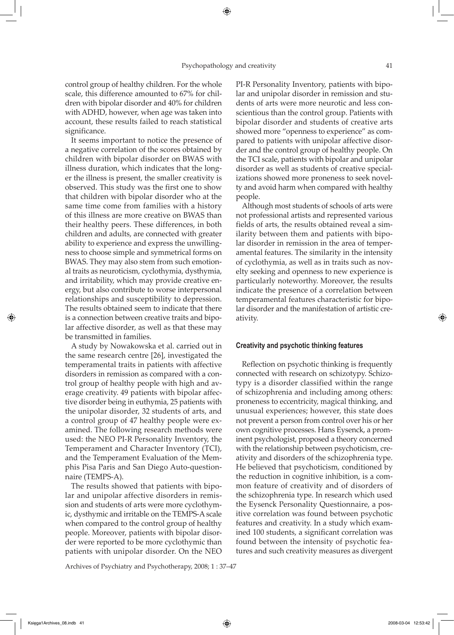$\Leftrightarrow$ 

control group of healthy children. For the whole scale, this difference amounted to 67% for children with bipolar disorder and 40% for children with ADHD, however, when age was taken into account, these results failed to reach statistical significance.

It seems important to notice the presence of a negative correlation of the scores obtained by children with bipolar disorder on BWAS with illness duration, which indicates that the longer the illness is present, the smaller creativity is observed. This study was the first one to show that children with bipolar disorder who at the same time come from families with a history of this illness are more creative on BWAS than their healthy peers. These differences, in both children and adults, are connected with greater ability to experience and express the unwillingness to choose simple and symmetrical forms on BWAS. They may also stem from such emotional traits as neuroticism, cyclothymia, dysthymia, and irritability, which may provide creative energy, but also contribute to worse interpersonal relationships and susceptibility to depression. The results obtained seem to indicate that there is a connection between creative traits and bipolar affective disorder, as well as that these may be transmitted in families.

A study by Nowakowska et al. carried out in the same research centre [26], investigated the temperamental traits in patients with affective disorders in remission as compared with a control group of healthy people with high and average creativity. 49 patients with bipolar affective disorder being in euthymia, 25 patients with the unipolar disorder, 32 students of arts, and a control group of 47 healthy people were examined. The following research methods were used: the NEO PI-R Personality Inventory, the Temperament and Character Inventory (TCI), and the Temperament Evaluation of the Memphis Pisa Paris and San Diego Auto-questionnaire (TEMPS-A).

The results showed that patients with bipolar and unipolar affective disorders in remission and students of arts were more cyclothymic, dysthymic and irritable on the TEMPS-A scale when compared to the control group of healthy people. Moreover, patients with bipolar disorder were reported to be more cyclothymic than patients with unipolar disorder. On the NEO

Archives of Psychiatry and Psychotherapy, 2008; 1 : 37–47

PI-R Personality Inventory, patients with bipolar and unipolar disorder in remission and students of arts were more neurotic and less conscientious than the control group. Patients with bipolar disorder and students of creative arts showed more "openness to experience" as compared to patients with unipolar affective disorder and the control group of healthy people. On the TCI scale, patients with bipolar and unipolar disorder as well as students of creative specializations showed more proneness to seek novelty and avoid harm when compared with healthy people.

Although most students of schools of arts were not professional artists and represented various fields of arts, the results obtained reveal a similarity between them and patients with bipolar disorder in remission in the area of temperamental features. The similarity in the intensity of cyclothymia, as well as in traits such as novelty seeking and openness to new experience is particularly noteworthy. Moreover, the results indicate the presence of a correlation between temperamental features characteristic for bipolar disorder and the manifestation of artistic creativity.

#### **Creativity and psychotic thinking features**

Reflection on psychotic thinking is frequently connected with research on schizotypy. Schizotypy is a disorder classified within the range of schizophrenia and including among others: proneness to eccentricity, magical thinking, and unusual experiences; however, this state does not prevent a person from control over his or her own cognitive processes. Hans Eysenck, a prominent psychologist, proposed a theory concerned with the relationship between psychoticism, creativity and disorders of the schizophrenia type. He believed that psychoticism, conditioned by the reduction in cognitive inhibition, is a common feature of creativity and of disorders of the schizophrenia type. In research which used the Eysenck Personality Questionnaire, a positive correlation was found between psychotic features and creativity. In a study which examined 100 students, a significant correlation was found between the intensity of psychotic features and such creativity measures as divergent

Księga1Archives\_08.indb 41 2008-03-04 12:53:42

⇔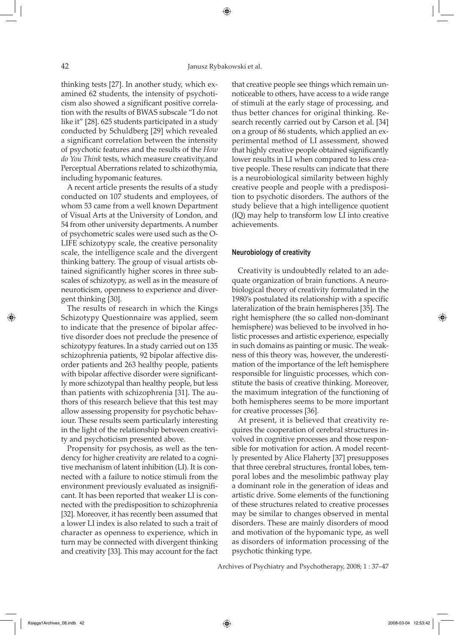thinking tests [27]. In another study, which examined 62 students, the intensity of psychoticism also showed a significant positive correlation with the results of BWAS subscale "I do not like it" [28]. 625 students participated in a study conducted by Schuldberg [29] which revealed a significant correlation between the intensity of psychotic features and the results of the *How do You Think* tests, which measure creativity,and Perceptual Aberrations related to schizothymia, including hypomanic features.

A recent article presents the results of a study conducted on 107 students and employees, of whom 53 came from a well known Department of Visual Arts at the University of London, and 54 from other university departments. A number of psychometric scales were used such as the O-LIFE schizotypy scale, the creative personality scale, the intelligence scale and the divergent thinking battery. The group of visual artists obtained significantly higher scores in three subscales of schizotypy, as well as in the measure of neuroticism, openness to experience and divergent thinking [30].

The results of research in which the Kings Schizotypy Questionnaire was applied, seem to indicate that the presence of bipolar affective disorder does not preclude the presence of schizotypy features. In a study carried out on 135 schizophrenia patients, 92 bipolar affective disorder patients and 263 healthy people, patients with bipolar affective disorder were significantly more schizotypal than healthy people, but less than patients with schizophrenia [31]. The authors of this research believe that this test may allow assessing propensity for psychotic behaviour. These results seem particularly interesting in the light of the relationship between creativity and psychoticism presented above.

Propensity for psychosis, as well as the tendency for higher creativity are related to a cognitive mechanism of latent inhibition (LI). It is connected with a failure to notice stimuli from the environment previously evaluated as insignificant. It has been reported that weaker LI is connected with the predisposition to schizophrenia [32]. Moreover, it has recently been assumed that a lower LI index is also related to such a trait of character as openness to experience, which in turn may be connected with divergent thinking and creativity [33]. This may account for the fact that creative people see things which remain unnoticeable to others, have access to a wide range of stimuli at the early stage of processing, and thus better chances for original thinking. Research recently carried out by Carson et al. [34] on a group of 86 students, which applied an experimental method of LI assessment, showed that highly creative people obtained significantly lower results in LI when compared to less creative people. These results can indicate that there is a neurobiological similarity between highly creative people and people with a predisposition to psychotic disorders. The authors of the study believe that a high intelligence quotient (IQ) may help to transform low LI into creative achievements.

#### **Neurobiology of creativity**

Creativity is undoubtedly related to an adequate organization of brain functions. A neurobiological theory of creativity formulated in the 1980's postulated its relationship with a specific lateralization of the brain hemispheres [35]. The right hemisphere (the so called non-dominant hemisphere) was believed to be involved in holistic processes and artistic experience, especially in such domains as painting or music. The weakness of this theory was, however, the underestimation of the importance of the left hemisphere responsible for linguistic processes, which constitute the basis of creative thinking. Moreover, the maximum integration of the functioning of both hemispheres seems to be more important for creative processes [36].

At present, it is believed that creativity requires the cooperation of cerebral structures involved in cognitive processes and those responsible for motivation for action. A model recently presented by Alice Flaherty [37] presupposes that three cerebral structures, frontal lobes, temporal lobes and the mesolimbic pathway play a dominant role in the generation of ideas and artistic drive. Some elements of the functioning of these structures related to creative processes may be similar to changes observed in mental disorders. These are mainly disorders of mood and motivation of the hypomanic type, as well as disorders of information processing of the psychotic thinking type.

Archives of Psychiatry and Psychotherapy, 2008; 1 : 37–47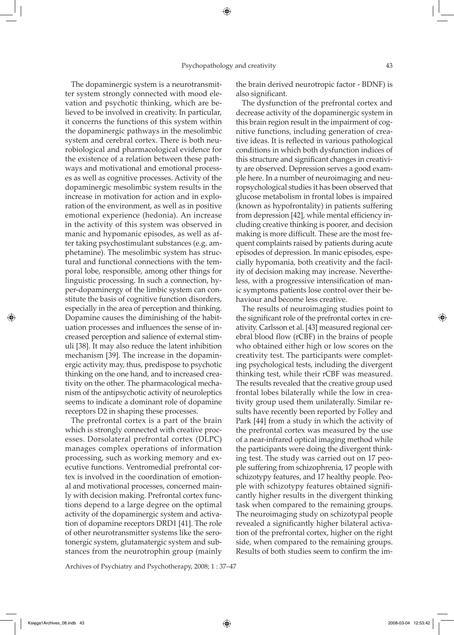The dopaminergic system is a neurotransmitter system strongly connected with mood elevation and psychotic thinking, which are believed to be involved in creativity. In particular, it concerns the functions of this system within the dopaminergic pathways in the mesolimbic system and cerebral cortex. There is both neurobiological and pharmacological evidence for the existence of a relation between these pathways and motivational and emotional processes as well as cognitive processes. Activity of the dopaminergic mesolimbic system results in the increase in motivation for action and in exploration of the environment, as well as in positive emotional experience (hedonia). An increase in the activity of this system was observed in manic and hypomanic episodes, as well as after taking psychostimulant substances (e.g. amphetamine). The mesolimbic system has structural and functional connections with the temporal lobe, responsible, among other things for linguistic processing. In such a connection, hyper-dopaminergy of the limbic system can constitute the basis of cognitive function disorders, especially in the area of perception and thinking. Dopamine causes the diminishing of the habituation processes and influences the sense of increased perception and salience of external stimuli [38]. It may also reduce the latent inhibition mechanism [39]. The increase in the dopaminergic activity may, thus, predispose to psychotic thinking on the one hand, and to increased creativity on the other. The pharmacological mechanism of the antipsychotic activity of neuroleptics seems to indicate a dominant role of dopamine receptors D2 in shaping these processes.

The prefrontal cortex is a part of the brain which is strongly connected with creative processes. Dorsolateral prefrontal cortex (DLPC) manages complex operations of information processing, such as working memory and executive functions. Ventromedial prefrontal cortex is involved in the coordination of emotional and motivational processes, concerned mainly with decision making. Prefrontal cortex functions depend to a large degree on the optimal activity of the dopaminergic system and activation of dopamine receptors DRD1 [41]. The role of other neurotransmitter systems like the serotonergic system, glutamatergic system and substances from the neurotrophin group (mainly

Archives of Psychiatry and Psychotherapy, 2008; 1 : 37–47

the brain derived neurotropic factor - BDNF) is also significant.

The dysfunction of the prefrontal cortex and decrease activity of the dopaminergic system in this brain region result in the impairment of cognitive functions, including generation of creative ideas. It is reflected in various pathological conditions in which both dysfunction indices of this structure and significant changes in creativity are observed. Depression serves a good example here. In a number of neuroimaging and neuropsychological studies it has been observed that glucose metabolism in frontal lobes is impaired (known as hypofrontality) in patients suffering from depression [42], while mental efficiency including creative thinking is poorer, and decision making is more difficult. These are the most frequent complaints raised by patients during acute episodes of depression. In manic episodes, especially hypomania, both creativity and the facility of decision making may increase. Nevertheless, with a progressive intensification of manic symptoms patients lose control over their behaviour and become less creative.

The results of neuroimaging studies point to the significant role of the prefrontal cortex in creativity. Carlsson et al. [43] measured regional cerebral blood flow (rCBF) in the brains of people who obtained either high or low scores on the creativity test. The participants were completing psychological tests, including the divergent thinking test, while their rCBF was measured. The results revealed that the creative group used frontal lobes bilaterally while the low in creativity group used them unilaterally. Similar results have recently been reported by Folley and Park [44] from a study in which the activity of the prefrontal cortex was measured by the use of a near-infrared optical imaging method while the participants were doing the divergent thinking test. The study was carried out on 17 people suffering from schizophrenia, 17 people with schizotypy features, and 17 healthy people. People with schizotypy features obtained significantly higher results in the divergent thinking task when compared to the remaining groups. The neuroimaging study on schizotypal people revealed a significantly higher bilateral activation of the prefrontal cortex, higher on the right side, when compared to the remaining groups. Results of both studies seem to confirm the im-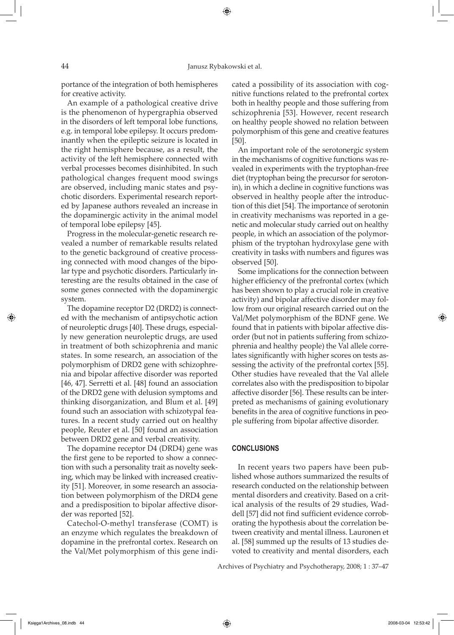portance of the integration of both hemispheres for creative activity.

An example of a pathological creative drive is the phenomenon of hypergraphia observed in the disorders of left temporal lobe functions, e.g. in temporal lobe epilepsy. It occurs predominantly when the epileptic seizure is located in the right hemisphere because, as a result, the activity of the left hemisphere connected with verbal processes becomes disinhibited. In such pathological changes frequent mood swings are observed, including manic states and psychotic disorders. Experimental research reported by Japanese authors revealed an increase in the dopaminergic activity in the animal model of temporal lobe epilepsy [45].

Progress in the molecular-genetic research revealed a number of remarkable results related to the genetic background of creative processing connected with mood changes of the bipolar type and psychotic disorders. Particularly interesting are the results obtained in the case of some genes connected with the dopaminergic system.

The dopamine receptor D2 (DRD2) is connected with the mechanism of antipsychotic action of neuroleptic drugs [40]. These drugs, especially new generation neuroleptic drugs, are used in treatment of both schizophrenia and manic states. In some research, an association of the polymorphism of DRD2 gene with schizophrenia and bipolar affective disorder was reported [46, 47]. Serretti et al. [48] found an association of the DRD2 gene with delusion symptoms and thinking disorganization, and Blum et al. [49] found such an association with schizotypal features. In a recent study carried out on healthy people, Reuter et al. [50] found an association between DRD2 gene and verbal creativity.

The dopamine receptor D4 (DRD4) gene was the first gene to be reported to show a connection with such a personality trait as novelty seeking, which may be linked with increased creativity [51]. Moreover, in some research an association between polymorphism of the DRD4 gene and a predisposition to bipolar affective disorder was reported [52].

Catechol-O-methyl transferase (COMT) is an enzyme which regulates the breakdown of dopamine in the prefrontal cortex. Research on the Val/Met polymorphism of this gene indicated a possibility of its association with cognitive functions related to the prefrontal cortex both in healthy people and those suffering from schizophrenia [53]. However, recent research on healthy people showed no relation between polymorphism of this gene and creative features [50].

An important role of the serotonergic system in the mechanisms of cognitive functions was revealed in experiments with the tryptophan-free diet (tryptophan being the precursor for serotonin), in which a decline in cognitive functions was observed in healthy people after the introduction of this diet [54]. The importance of serotonin in creativity mechanisms was reported in a genetic and molecular study carried out on healthy people, in which an association of the polymorphism of the tryptohan hydroxylase gene with creativity in tasks with numbers and figures was observed [50].

Some implications for the connection between higher efficiency of the prefrontal cortex (which has been shown to play a crucial role in creative activity) and bipolar affective disorder may follow from our original research carried out on the Val/Met polymorphism of the BDNF gene. We found that in patients with bipolar affective disorder (but not in patients suffering from schizophrenia and healthy people) the Val allele correlates significantly with higher scores on tests assessing the activity of the prefrontal cortex [55]. Other studies have revealed that the Val allele correlates also with the predisposition to bipolar affective disorder [56]. These results can be interpreted as mechanisms of gaining evolutionary benefits in the area of cognitive functions in people suffering from bipolar affective disorder.

## **CONCLUSIONS**

In recent years two papers have been published whose authors summarized the results of research conducted on the relationship between mental disorders and creativity. Based on a critical analysis of the results of 29 studies, Waddell [57] did not find sufficient evidence corroborating the hypothesis about the correlation between creativity and mental illness. Lauronen et al. [58] summed up the results of 13 studies devoted to creativity and mental disorders, each

Archives of Psychiatry and Psychotherapy, 2008; 1 : 37–47

⇔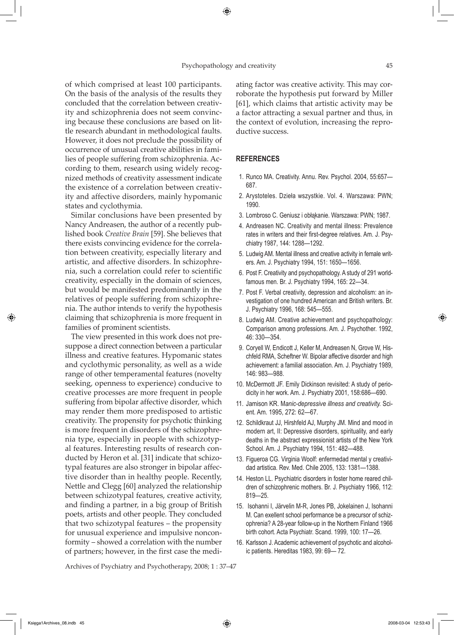#### Psychopathology and creativity 45

⊕

of which comprised at least 100 participants. On the basis of the analysis of the results they concluded that the correlation between creativity and schizophrenia does not seem convincing because these conclusions are based on little research abundant in methodological faults. However, it does not preclude the possibility of occurrence of unusual creative abilities in families of people suffering from schizophrenia. According to them, research using widely recognized methods of creativity assessment indicate the existence of a correlation between creativity and affective disorders, mainly hypomanic states and cyclothymia.

Similar conclusions have been presented by Nancy Andreasen, the author of a recently published book *Creative Brain* [59]. She believes that there exists convincing evidence for the correlation between creativity, especially literary and artistic, and affective disorders. In schizophrenia, such a correlation could refer to scientific creativity, especially in the domain of sciences, but would be manifested predominantly in the relatives of people suffering from schizophrenia. The author intends to verify the hypothesis claiming that schizophrenia is more frequent in families of prominent scientists.

The view presented in this work does not presuppose a direct connection between a particular illness and creative features. Hypomanic states and cyclothymic personality, as well as a wide range of other temperamental features (novelty seeking, openness to experience) conducive to creative processes are more frequent in people suffering from bipolar affective disorder, which may render them more predisposed to artistic creativity. The propensity for psychotic thinking is more frequent in disorders of the schizophrenia type, especially in people with schizotypal features. Interesting results of research conducted by Heron et al. [31] indicate that schizotypal features are also stronger in bipolar affective disorder than in healthy people. Recently, Nettle and Clegg [60] analyzed the relationship between schizotypal features, creative activity, and finding a partner, in a big group of British poets, artists and other people. They concluded that two schizotypal features – the propensity for unusual experience and impulsive nonconformity – showed a correlation with the number of partners; however, in the first case the mediating factor was creative activity. This may corroborate the hypothesis put forward by Miller [61], which claims that artistic activity may be a factor attracting a sexual partner and thus, in the context of evolution, increasing the reproductive success.

### **REFERENCES**

- 1. Runco MA. Creativity. Annu. Rev. Psychol. 2004, 55:657— 687.
- 2. Arystoteles. Dzieła wszystkie. Vol. 4. Warszawa: PWN; 1990.
- 3. Lombroso C. Geniusz i obłąkanie. Warszawa: PWN; 1987.
- 4. Andreasen NC. Creativity and mental illness: Prevalence rates in writers and their first-degree relatives. Am. J. Psychiatry 1987, 144: 1288—1292.
- 5. Ludwig AM. Mental illness and creative activity in female writers. Am. J. Psychiatry 1994, 151: 1650—1656.
- 6. Post F. Creativity and psychopathology. A study of 291 worldfamous men. Br. J. Psychiatry 1994, 165: 22—34.
- 7. Post F. Verbal creativity, depression and alcoholism: an investigation of one hundred American and British writers. Br. J. Psychiatry 1996, 168: 545—555.
- 8. Ludwig AM. Creative achievement and psychopathology: Comparison among professions. Am. J. Psychother. 1992, 46: 330—354.
- 9. Coryell W, Endicott J, Keller M, Andreasen N, Grove W, Hischfeld RMA, Scheftner W. Bipolar affective disorder and high achievement: a familial association. Am. J. Psychiatry 1989, 146: 983—988.
- 10. McDermott JF. Emily Dickinson revisited: A study of periodicity in her work. Am. J. Psychiatry 2001, 158:686—690.
- 11. Jamison KR. M*anic-depressive illness and creativity.* Scient. Am. 1995, 272: 62—67.
- 12. Schildkraut JJ, Hirshfeld AJ, Murphy JM. Mind and mood in modern art, II: Depressive disorders, spirituality, and early deaths in the abstract expressionist artists of the New York School. Am. J. Psychiatry 1994, 151: 482—488.
- 13. Figueroa CG. Virginia Woolf: enfermedad mental y creatividad artistica. Rev. Med. Chile 2005, 133: 1381—1388.
- 14. Heston LL. Psychiatric disorders in foster home reared children of schizophrenic mothers. Br. J. Psychiatry 1966, 112: 819—25.
- 15. Isohanni I, Järvelin M-R, Jones PB, Jokelainen J, Isohanni M. Can exellent school performance be a precursor of schizophrenia? A 28-year follow-up in the Northern Finland 1966 birth cohort. Acta Psychiatr. Scand. 1999, 100: 17—26.
- 16. Karlsson J. Academic achievement of psychotic and alcoholic patients. Hereditas 1983, 99: 69— 72.

Archives of Psychiatry and Psychotherapy, 2008; 1 : 37–47

⇔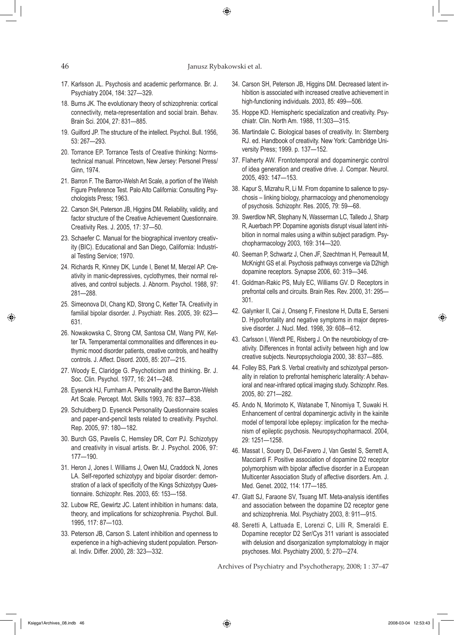# 46 Janusz Rybakowski et al.

⊕

- 17. Karlsson JL. Psychosis and academic performance. Br. J. Psychiatry 2004, 184: 327—329.
- 18. Burns JK. The evolutionary theory of schizophrenia: cortical connectivity, meta-representation and social brain. Behav. Brain Sci. 2004, 27: 831—885.
- 19. Guilford JP. The structure of the intellect. Psychol. Bull. 1956, 53: 267—293.
- 20. Torrance EP. Torrance Tests of Creative thinking: Normstechnical manual. Princetown, New Jersey: Personel Press/ Ginn, 1974.
- 21. Barron F. The Barron-Welsh Art Scale, a portion of the Welsh Figure Preference Test. Palo Alto California: Consulting Psychologists Press; 1963.
- 22. Carson SH, Peterson JB, Higgins DM. Reliability, validity, and factor structure of the Creative Achievement Questionnaire. Creativity Res. J. 2005, 17: 37—50.
- 23. Schaefer C. Manual for the biographical inventory creativity (BIC). Educational and San Diego, California: Industrial Testing Service; 1970.
- 24. Richards R, Kinney DK, Lunde I, Benet M, Merzel AP. Creativity in manic-depressives, cyclothymes, their normal relatives, and control subjects. J. Abnorm. Psychol. 1988, 97: 281—288.
- 25. Simeonova DI, Chang KD, Strong C, Ketter TA. Creativity in familial bipolar disorder. J. Psychiatr. Res. 2005, 39: 623— 631.
- 26. Nowakowska C, Strong CM, Santosa CM, Wang PW, Ketter TA. Temperamental commonalities and differences in euthymic mood disorder patients, creative controls, and healthy controls. J. Affect. Disord. 2005, 85: 207—215.
- 27. Woody E, Claridge G. Psychoticism and thinking. Br. J. Soc. Clin. Psychol. 1977, 16: 241—248.
- 28. Eysenck HJ, Furnham A. Personality and the Barron-Welsh Art Scale. Percept. Mot. Skills 1993, 76: 837—838.
- 29. Schuldberg D. Eysenck Personality Questionnaire scales and paper-and-pencil tests related to creativity. Psychol. Rep. 2005, 97: 180—182.
- 30. Burch GS, Pavelis C, Hemsley DR, Corr PJ. Schizotypy and creativity in visual artists. Br. J. Psychol. 2006, 97: 177—190.
- 31. Heron J, Jones I. Williams J, Owen MJ, Craddock N, Jones LA. Self-reported schizotypy and bipolar disorder: demonstration of a lack of specificity of the Kings Schizotypy Questionnaire. Schizophr. Res. 2003, 65: 153—158.
- 32. Lubow RE, Gewirtz JC. Latent inhibition in humans: data, theory, and implications for schizophrenia. Psychol. Bull. 1995, 117: 87—103.
- 33. Peterson JB, Carson S. Latent inhibition and openness to experience in a high-achieving student population. Personal. Indiv. Differ. 2000, 28: 323—332.
- 34. Carson SH, Peterson JB, Higgins DM. Decreased latent inhibition is associated with increased creative achievement in high-functioning individuals. 2003, 85: 499—506.
- 35. Hoppe KD. Hemispheric specialization and creativity. Psychiatr. Clin. North Am. 1988, 11:303—315.
- 36. Martindale C. Biological bases of creativity. In: Sternberg RJ. ed. Handbook of creativity. New York: Cambridge University Press; 1999. p. 137—152.
- 37. Flaherty AW. Frontotemporal and dopaminergic control of idea generation and creative drive. J. Compar. Neurol. 2005, 493: 147—153.
- 38. Kapur S, Mizrahu R, Li M. From dopamine to salience to psychosis – linking biology, pharmacology and phenomenology of psychosis. Schizophr. Res. 2005, 79: 59—68.
- 39. Swerdlow NR, Stephany N, Wasserman LC, Talledo J, Sharp R, Auerbach PP. Dopamine agonists disrupt visual latent inhibition in normal males using a within subject paradigm. Psychopharmacology 2003, 169: 314—320.
- 40. Seeman P, Schwartz J, Chen JF, Szechtman H, Perreault M, McKnight GS et al. Psychosis pathways converge via D2high dopamine receptors. Synapse 2006, 60: 319—346.
- 41. Goldman-Rakic PS, Muly EC, Williams GV. D. Receptors in prefrontal cells and circuits. Brain Res. Rev. 2000, 31: 295— 301.
- 42. Galynker II, Cai J, Onseng F, Finestone H, Dutta E, Serseni D. Hypofrontality and negative symptoms in major depressive disorder. J. Nucl. Med. 1998, 39: 608—612.
- 43. Carlsson I, Wendt PE, Risberg J. On the neurobiology of creativity. Differences in frontal activity between high and low creative subjects. Neuropsychologia 2000, 38: 837—885.
- 44. Folley BS, Park S. Verbal creativity and schizotypal personality in relation to prefrontal hemispheric laterality: A behavioral and near-infrared optical imaging study. Schizophr. Res. 2005, 80: 271—282.
- 45. Ando N, Morimoto K, Watanabe T, Ninomiya T, Suwaki H. Enhancement of central dopaminergic activity in the kainite model of temporal lobe epilepsy: implication for the mechanism of epileptic psychosis. Neuropsychopharmacol. 2004, 29: 1251—1258.
- 46. Massat I, Souery D, Del-Favero J, Van Gestel S, Serrett A, Macciardi F. Positive association of dopamine D2 receptor polymorphism with bipolar affective disorder in a European Multicenter Association Study of affective disorders. Am. J. Med. Genet. 2002, 114: 177—185.
- 47. Glatt SJ, Faraone SV, Tsuang MT. Meta-analysis identifies and association between the dopamine D2 receptor gene and schizophrenia. Mol. Psychiatry 2003, 8: 911—915.
- 48. Seretti A, Lattuada E, Lorenzi C, Lilli R, Smeraldi E. Dopamine receptor D2 Ser/Cys 311 variant is associated with delusion and disorganization symptomatology in major psychoses. Mol. Psychiatry 2000, 5: 270—274.

Archives of Psychiatry and Psychotherapy, 2008; 1 : 37–47

⊕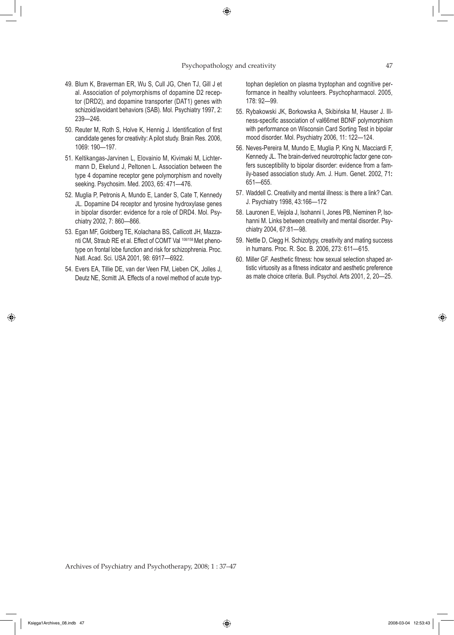#### Psychopathology and creativity 47

- 49. Blum K, Braverman ER, Wu S, Cull JG, Chen TJ, Gill J et al. Association of polymorphisms of dopamine D2 receptor (DRD2), and dopamine transporter (DAT1) genes with schizoid/avoidant behaviors (SAB). Mol. Psychiatry 1997, 2: 239—246.
- 50. Reuter M, Roth S, Holve K, Hennig J. Identification of first candidate genes for creativity: A pilot study. Brain Res. 2006, 1069: 190—197.
- 51. Keltikangas-Jarvinen L, Elovainio M, Kivimaki M, Lichtermann D, Ekelund J, Peltonen L. Association between the type 4 dopamine receptor gene polymorphism and novelty seeking. Psychosim. Med. 2003, 65: 471—476.
- 52. Muglia P, Petronis A, Mundo E, Lander S, Cate T, Kennedy JL. Dopamine D4 receptor and tyrosine hydroxylase genes in bipolar disorder: evidence for a role of DRD4. Mol. Psychiatry 2002, 7: 860—866.
- 53. Egan MF, Goldberg TE, Kolachana BS, Callicott JH, Mazzanti CM, Straub RE et al. Effect of COMT Val <sup>108/158</sup> Met phenotype on frontal lobe function and risk for schizophrenia. Proc. Natl. Acad. Sci. USA 2001, 98: 6917—6922.
- 54. Evers EA, Tillie DE, van der Veen FM, Lieben CK, Jolles J, Deutz NE, Scmitt JA. Effects of a novel method of acute tryp-

tophan depletion on plasma tryptophan and cognitive performance in healthy volunteers. Psychopharmacol. 2005, 178: 92—99.

- 55. Rybakowski JK, Borkowska A, Skibińska M, Hauser J. Illness-specific association of val66met BDNF polymorphism with performance on Wisconsin Card Sorting Test in bipolar mood disorder. Mol. Psychiatry 2006, 11: 122—124.
- 56. Neves-Pereira M, Mundo E, Muglia P, King N, Macciardi F, Kennedy JL. The brain-derived neurotrophic factor gene confers susceptibility to bipolar disorder: evidence from a family-based association study. Am. J. Hum. Genet. 2002, 71**:** 651—655.
- 57. Waddell C. Creativity and mental illness: is there a link? Can. J. Psychiatry 1998, 43:166—172
- 58. Lauronen E, Veijola J, Isohanni I, Jones PB, Nieminen P, Isohanni M. Links between creativity and mental disorder. Psychiatry 2004, 67:81—98.
- 59. Nettle D, Clegg H. Schizotypy, creativity and mating success in humans. Proc. R. Soc. B. 2006, 273: 611—615.
- 60. Miller GF. Aesthetic fitness: how sexual selection shaped artistic virtuosity as a fitness indicator and aesthetic preference as mate choice criteria. Bull. Psychol. Arts 2001, 2, 20—25.

Archives of Psychiatry and Psychotherapy, 2008; 1 : 37–47

↔

⊕